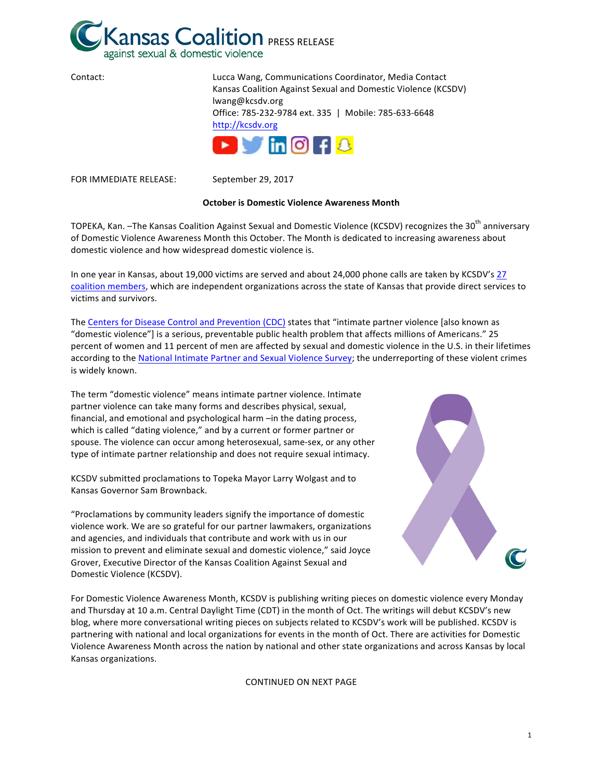

| Contact: | Lucca Wang, Communications Coordinator, Media Contact                                                                                    |
|----------|------------------------------------------------------------------------------------------------------------------------------------------|
|          | Kansas Coalition Against Sexual and Domestic Violence (KCSDV)                                                                            |
|          | lwang@kcsdv.org                                                                                                                          |
|          | Office: 785-232-9784 ext. 335   Mobile: 785-633-6648                                                                                     |
|          | http://kcsdv.org                                                                                                                         |
|          | $\triangleright$ $\blacksquare$ $\blacksquare$ $\blacksquare$ $\blacksquare$ $\blacksquare$ $\blacksquare$ $\blacksquare$ $\blacksquare$ |
|          |                                                                                                                                          |

FOR IMMEDIATE RELEASE: September 29, 2017

#### **October is Domestic Violence Awareness Month**

TOPEKA, Kan. -The Kansas Coalition Against Sexual and Domestic Violence (KCSDV) recognizes the 30<sup>th</sup> anniversary of Domestic Violence Awareness Month this October. The Month is dedicated to increasing awareness about domestic violence and how widespread domestic violence is.

In one year in Kansas, about 19,000 victims are served and about 24,000 phone calls are taken by KCSDV's 27 coalition members, which are independent organizations across the state of Kansas that provide direct services to victims and survivors.

The Centers for Disease Control and Prevention (CDC) states that "intimate partner violence [also known as "domestic violence"] is a serious, preventable public health problem that affects millions of Americans." 25 percent of women and 11 percent of men are affected by sexual and domestic violence in the U.S. in their lifetimes according to the National Intimate Partner and Sexual Violence Survey; the underreporting of these violent crimes is widely known.

The term "domestic violence" means intimate partner violence. Intimate partner violence can take many forms and describes physical, sexual, financial, and emotional and psychological harm -in the dating process, which is called "dating violence," and by a current or former partner or spouse. The violence can occur among heterosexual, same-sex, or any other type of intimate partner relationship and does not require sexual intimacy.

KCSDV submitted proclamations to Topeka Mayor Larry Wolgast and to Kansas Governor Sam Brownback.

"Proclamations by community leaders signify the importance of domestic violence work. We are so grateful for our partner lawmakers, organizations and agencies, and individuals that contribute and work with us in our mission to prevent and eliminate sexual and domestic violence," said Joyce Grover, Executive Director of the Kansas Coalition Against Sexual and Domestic Violence (KCSDV).



For Domestic Violence Awareness Month, KCSDV is publishing writing pieces on domestic violence every Monday and Thursday at 10 a.m. Central Daylight Time (CDT) in the month of Oct. The writings will debut KCSDV's new blog, where more conversational writing pieces on subjects related to KCSDV's work will be published. KCSDV is partnering with national and local organizations for events in the month of Oct. There are activities for Domestic Violence Awareness Month across the nation by national and other state organizations and across Kansas by local Kansas organizations. 

## CONTINUED ON NEXT PAGE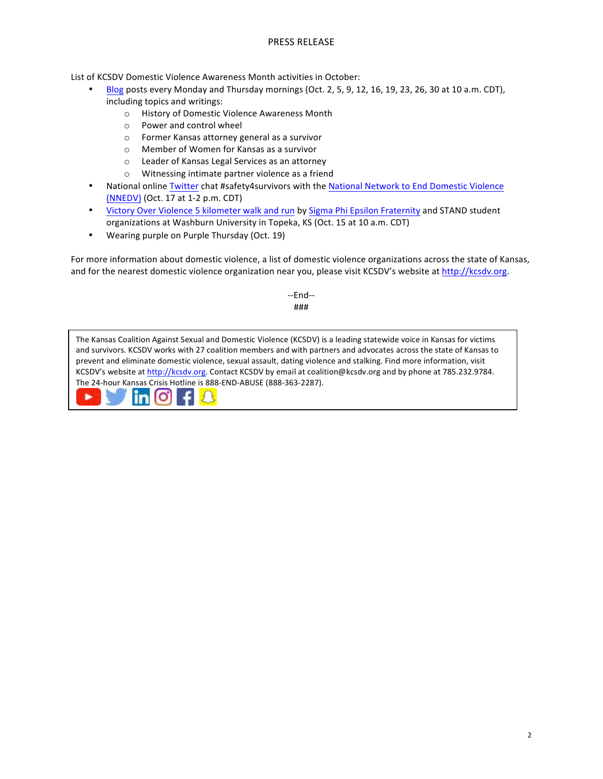# PRESS RELEASE

List of KCSDV Domestic Violence Awareness Month activities in October:

- [Blog](http://kcsdv.org/kcsdvmedia.html) posts every Monday and Thursday mornings (Oct. 2, 5, 9, 12, 16, 19, 23, 26, 30 at 10 a.m. CDT), including topics and writings:
	- o History of Domestic Violence Awareness Month
	- $\circ$  Power and control wheel
	- $\circ$  Former Kansas attorney general as a survivor
	- o Member of Women for Kansas as a survivor
	- o Leader of Kansas Legal Services as an attorney
	- o Witnessing intimate partner violence as a friend
- National online [Twitter](https://twitter.com/nnedv) chat #safety4survivors with the National Network to End Domestic Violence [\(NNEDV\)](http://nnedv.org/) (Oct. 17 at 1-2 p.m. CDT)
- Victory Over Violence 5 kilometer walk and run by Sigma Phi Epsilon Fraternity and STAND student organizations at Washburn University in Topeka, KS (Oct. 15 at 10 a.m. CDT)
- Wearing purple on Purple Thursday (Oct. 19)

For more information about domestic violence, a list of domestic violence organizations across the state of Kansas, and for the nearest domestic violence organization near you, please visit KCSDV's website at http://kcsdv.org.

> --End-- ###

The Kansas Coalition Against Sexual and Domestic Violence (KCSDV) is a leading statewide voice in Kansas for victims and survivors. KCSDV works with 27 coalition members and with partners and advocates across the state of Kansas to prevent and eliminate domestic violence, sexual assault, dating violence and stalking. Find more information, visit KCSDV's website at http://kcsdv.org. Contact KCSDV by email at coalition@kcsdv.org and by phone at 785.232.9784. The 24-hour Kansas Crisis Hotline is 888-END-ABUSE (888-363-2287).